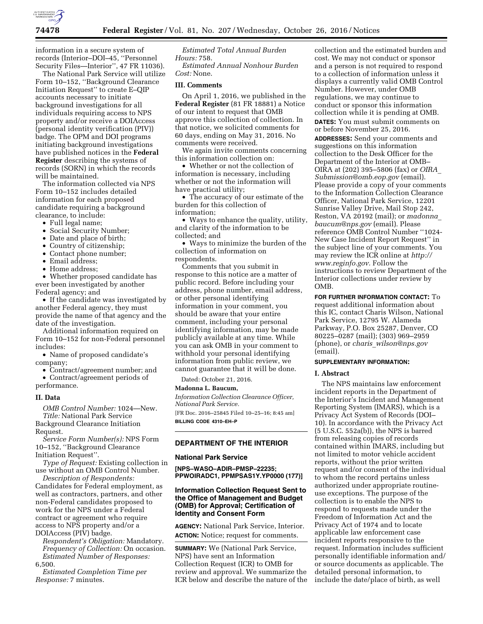

information in a secure system of records (Interior–DOI–45, ''Personnel Security Files—Interior'', 47 FR 11036).

The National Park Service will utilize Form 10–152, ''Background Clearance Initiation Request'' to create E–QIP accounts necessary to initiate background investigations for all individuals requiring access to NPS property and/or receive a DOIAccess (personal identity verification (PIV)) badge. The OPM and DOI programs initiating background investigations have published notices in the **Federal Register** describing the systems of records (SORN) in which the records will be maintained.

The information collected via NPS Form 10–152 includes detailed information for each proposed candidate requiring a background clearance, to include:

- Full legal name;
- Social Security Number;
- Date and place of birth;
- Country of citizenship;
- Contact phone number;
- Email address;
- Home address;

• Whether proposed candidate has ever been investigated by another Federal agency; and

• If the candidate was investigated by another Federal agency, they must provide the name of that agency and the date of the investigation.

Additional information required on Form 10–152 for non-Federal personnel includes:

• Name of proposed candidate's company;

• Contract/agreement number; and • Contract/agreement periods of performance.

### **II. Data**

*OMB Control Number:* 1024—New. *Title:* National Park Service Background Clearance Initiation Request.

*Service Form Number(s):* NPS Form 10–152, ''Background Clearance Initiation Request''.

*Type of Request:* Existing collection in use without an OMB Control Number.

*Description of Respondents:*  Candidates for Federal employment, as well as contractors, partners, and other non-Federal candidates proposed to work for the NPS under a Federal contract or agreement who require access to NPS property and/or a DOIAccess (PIV) badge.

*Respondent's Obligation:* Mandatory. *Frequency of Collection:* On occasion. *Estimated Number of Responses:*  6,500.

*Estimated Completion Time per Response:* 7 minutes.

*Estimated Total Annual Burden Hours:* 758.

*Estimated Annual Nonhour Burden Cost:* None.

## **III. Comments**

On April 1, 2016, we published in the **Federal Register** (81 FR 18881) a Notice of our intent to request that OMB approve this collection of collection. In that notice, we solicited comments for 60 days, ending on May 31, 2016. No comments were received.

We again invite comments concerning this information collection on:

• Whether or not the collection of information is necessary, including whether or not the information will have practical utility;

• The accuracy of our estimate of the burden for this collection of information;

• Ways to enhance the quality, utility, and clarity of the information to be collected; and

• Ways to minimize the burden of the collection of information on respondents.

Comments that you submit in response to this notice are a matter of public record. Before including your address, phone number, email address, or other personal identifying information in your comment, you should be aware that your entire comment, including your personal identifying information, may be made publicly available at any time. While you can ask OMB in your comment to withhold your personal identifying information from public review, we cannot guarantee that it will be done.

Dated: October 21, 2016.

## **Madonna L. Baucum,**

*Information Collection Clearance Officer, National Park Service.* 

[FR Doc. 2016–25845 Filed 10–25–16; 8:45 am] **BILLING CODE 4310–EH–P** 

## **DEPARTMENT OF THE INTERIOR**

#### **National Park Service**

**[NPS–WASO–ADIR–PMSP–22235; PPWOIRADC1, PPMPSAS1Y.YP0000 (177)]** 

# **Information Collection Request Sent to the Office of Management and Budget (OMB) for Approval; Certification of Identity and Consent Form**

**AGENCY:** National Park Service, Interior. **ACTION:** Notice; request for comments.

**SUMMARY:** We (National Park Service, NPS) have sent an Information Collection Request (ICR) to OMB for review and approval. We summarize the ICR below and describe the nature of the collection and the estimated burden and cost. We may not conduct or sponsor and a person is not required to respond to a collection of information unless it displays a currently valid OMB Control Number. However, under OMB regulations, we may continue to conduct or sponsor this information collection while it is pending at OMB. **DATES:** You must submit comments on or before November 25, 2016.

**ADDRESSES:** Send your comments and suggestions on this information collection to the Desk Officer for the Department of the Interior at OMB– OIRA at (202) 395–5806 (fax) or *[OIRA](mailto:OIRA_Submission@omb.eop.gov)*\_ *[Submission@omb.eop.gov](mailto:OIRA_Submission@omb.eop.gov)* (email). Please provide a copy of your comments to the Information Collection Clearance Officer, National Park Service, 12201 Sunrise Valley Drive, Mail Stop 242, Reston, VA 20192 (mail); or *[madonna](mailto:madonna_baucum@nps.gov)*\_ *[baucum@nps.gov](mailto:madonna_baucum@nps.gov)* (email). Please reference OMB Control Number ''1024- New Case Incident Report Request'' in the subject line of your comments. You may review the ICR online at *[http://](http://www.reginfo.gov) [www.reginfo.gov.](http://www.reginfo.gov)* Follow the instructions to review Department of the Interior collections under review by OMB.

**FOR FURTHER INFORMATION CONTACT:** To request additional information about this IC, contact Charis Wilson, National Park Service, 12795 W. Alameda Parkway, P.O. Box 25287, Denver, CO 80225–0287 (mail); (303) 969–2959 (phone), or *charis*\_*[wilson@nps.gov](mailto:charis_wilson@nps.gov)*  (email).

# **SUPPLEMENTARY INFORMATION:**

#### **I. Abstract**

The NPS maintains law enforcement incident reports in the Department of the Interior's Incident and Management Reporting System (IMARS), which is a Privacy Act System of Records (DOI– 10). In accordance with the Privacy Act (5 U.S.C. 552a(b)), the NPS is barred from releasing copies of records contained within IMARS, including but not limited to motor vehicle accident reports, without the prior written request and/or consent of the individual to whom the record pertains unless authorized under appropriate routineuse exceptions. The purpose of the collection is to enable the NPS to respond to requests made under the Freedom of Information Act and the Privacy Act of 1974 and to locate applicable law enforcement case incident reports responsive to the request. Information includes sufficient personally identifiable information and/ or source documents as applicable. The detailed personal information, to include the date/place of birth, as well